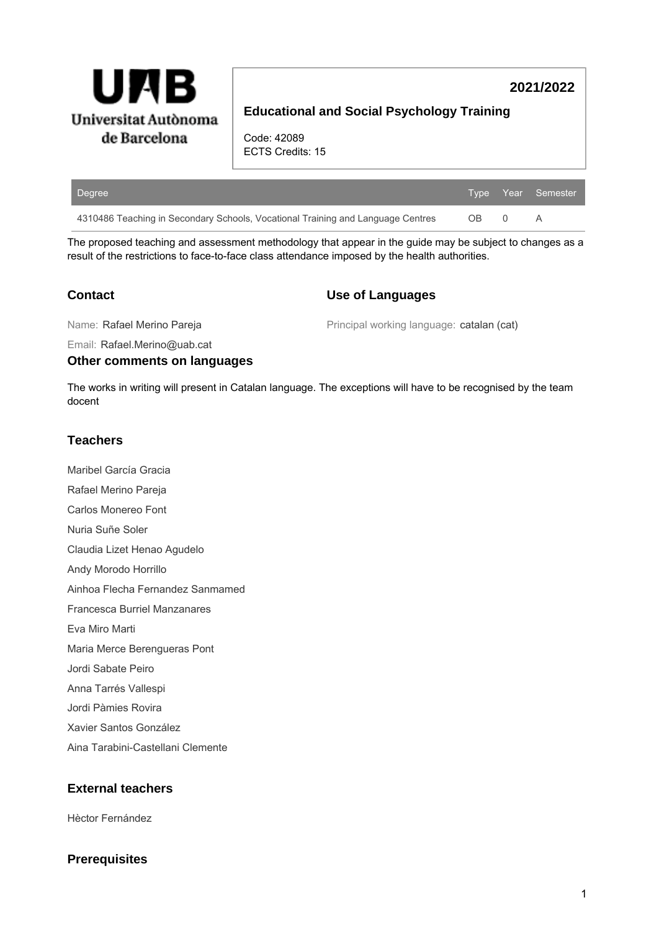

# **2021/2022**

# **Educational and Social Psychology Training**

Code: 42089 ECTS Credits: 15

| Degree                                                                          |     |   | Type Year Semester, |
|---------------------------------------------------------------------------------|-----|---|---------------------|
| 4310486 Teaching in Secondary Schools, Vocational Training and Language Centres | OB. | 0 | Α                   |

The proposed teaching and assessment methodology that appear in the guide may be subject to changes as a result of the restrictions to face-to-face class attendance imposed by the health authorities.

### **Contact**

#### **Use of Languages**

Name: Rafael Merino Pareja

Principal working language: catalan (cat)

Email: Rafael.Merino@uab.cat

#### **Other comments on languages**

The works in writing will present in Catalan language. The exceptions will have to be recognised by the team docent

## **Teachers**

Maribel García Gracia Rafael Merino Pareja Carlos Monereo Font Nuria Suñe Soler Claudia Lizet Henao Agudelo Andy Morodo Horrillo Ainhoa Flecha Fernandez Sanmamed Francesca Burriel Manzanares Eva Miro Marti Maria Merce Berengueras Pont Jordi Sabate Peiro Anna Tarrés Vallespi Jordi Pàmies Rovira Xavier Santos González Aina Tarabini-Castellani Clemente

## **External teachers**

Hèctor Fernández

### **Prerequisites**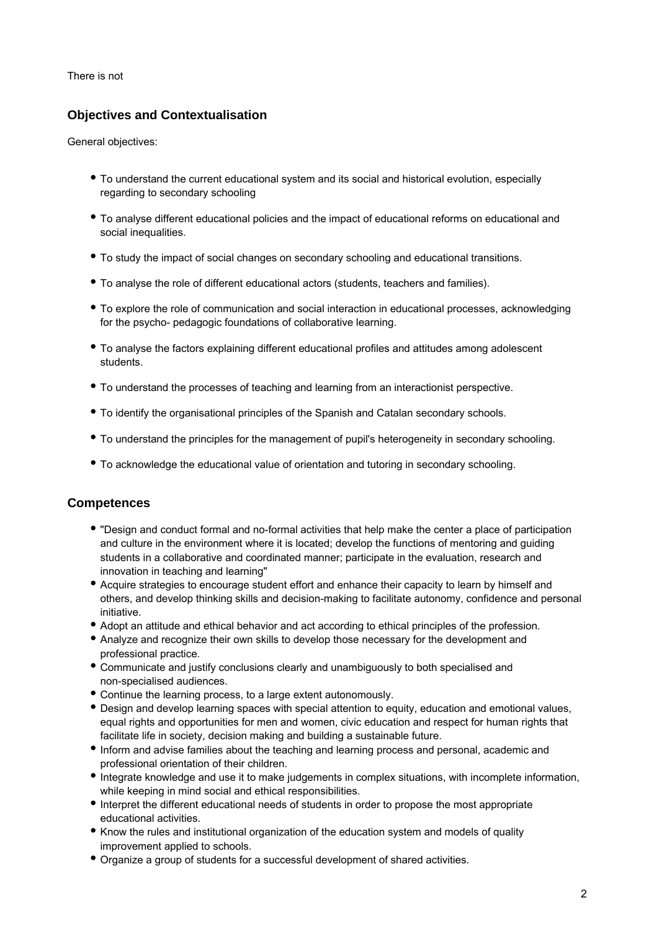There is not

# **Objectives and Contextualisation**

General objectives:

- To understand the current educational system and its social and historical evolution, especially regarding to secondary schooling
- To analyse different educational policies and the impact of educational reforms on educational and social inequalities.
- To study the impact of social changes on secondary schooling and educational transitions.
- To analyse the role of different educational actors (students, teachers and families).
- To explore the role of communication and social interaction in educational processes, acknowledging for the psycho- pedagogic foundations of collaborative learning.
- To analyse the factors explaining different educational profiles and attitudes among adolescent students.
- To understand the processes of teaching and learning from an interactionist perspective.
- To identify the organisational principles of the Spanish and Catalan secondary schools.
- To understand the principles for the management of pupil's heterogeneity in secondary schooling.
- To acknowledge the educational value of orientation and tutoring in secondary schooling.

### **Competences**

- "Design and conduct formal and no-formal activities that help make the center a place of participation and culture in the environment where it is located; develop the functions of mentoring and guiding students in a collaborative and coordinated manner; participate in the evaluation, research and innovation in teaching and learning"
- Acquire strategies to encourage student effort and enhance their capacity to learn by himself and others, and develop thinking skills and decision-making to facilitate autonomy, confidence and personal initiative.
- Adopt an attitude and ethical behavior and act according to ethical principles of the profession.
- Analyze and recognize their own skills to develop those necessary for the development and professional practice.
- Communicate and justify conclusions clearly and unambiguously to both specialised and non-specialised audiences.
- Continue the learning process, to a large extent autonomously.
- Design and develop learning spaces with special attention to equity, education and emotional values, equal rights and opportunities for men and women, civic education and respect for human rights that facilitate life in society, decision making and building a sustainable future.
- Inform and advise families about the teaching and learning process and personal, academic and professional orientation of their children.
- Integrate knowledge and use it to make judgements in complex situations, with incomplete information, while keeping in mind social and ethical responsibilities.
- Interpret the different educational needs of students in order to propose the most appropriate educational activities.
- Know the rules and institutional organization of the education system and models of quality improvement applied to schools.
- Organize a group of students for a successful development of shared activities.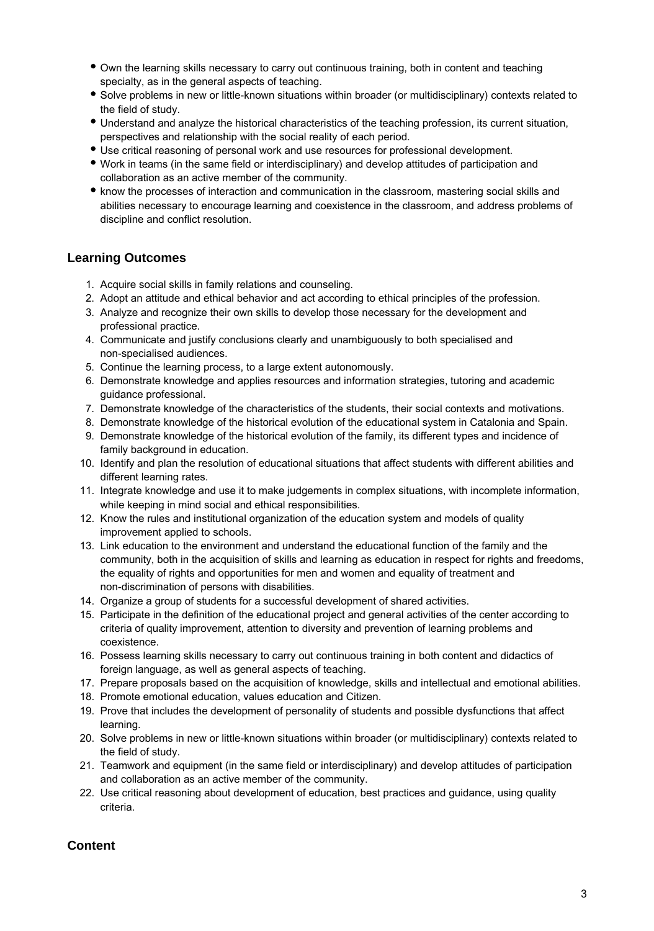- Own the learning skills necessary to carry out continuous training, both in content and teaching specialty, as in the general aspects of teaching.
- Solve problems in new or little-known situations within broader (or multidisciplinary) contexts related to the field of study.
- Understand and analyze the historical characteristics of the teaching profession, its current situation, perspectives and relationship with the social reality of each period.
- Use critical reasoning of personal work and use resources for professional development.
- Work in teams (in the same field or interdisciplinary) and develop attitudes of participation and collaboration as an active member of the community.
- know the processes of interaction and communication in the classroom, mastering social skills and abilities necessary to encourage learning and coexistence in the classroom, and address problems of discipline and conflict resolution.

### **Learning Outcomes**

- 1. Acquire social skills in family relations and counseling.
- 2. Adopt an attitude and ethical behavior and act according to ethical principles of the profession.
- 3. Analyze and recognize their own skills to develop those necessary for the development and professional practice.
- 4. Communicate and justify conclusions clearly and unambiguously to both specialised and non-specialised audiences.
- 5. Continue the learning process, to a large extent autonomously.
- 6. Demonstrate knowledge and applies resources and information strategies, tutoring and academic guidance professional.
- 7. Demonstrate knowledge of the characteristics of the students, their social contexts and motivations.
- 8. Demonstrate knowledge of the historical evolution of the educational system in Catalonia and Spain.
- 9. Demonstrate knowledge of the historical evolution of the family, its different types and incidence of family background in education.
- 10. Identify and plan the resolution of educational situations that affect students with different abilities and different learning rates.
- 11. Integrate knowledge and use it to make judgements in complex situations, with incomplete information, while keeping in mind social and ethical responsibilities.
- 12. Know the rules and institutional organization of the education system and models of quality improvement applied to schools.
- 13. Link education to the environment and understand the educational function of the family and the community, both in the acquisition of skills and learning as education in respect for rights and freedoms, the equality of rights and opportunities for men and women and equality of treatment and non-discrimination of persons with disabilities.
- 14. Organize a group of students for a successful development of shared activities.
- 15. Participate in the definition of the educational project and general activities of the center according to criteria of quality improvement, attention to diversity and prevention of learning problems and coexistence.
- 16. Possess learning skills necessary to carry out continuous training in both content and didactics of foreign language, as well as general aspects of teaching.
- 17. Prepare proposals based on the acquisition of knowledge, skills and intellectual and emotional abilities.
- 18. Promote emotional education, values education and Citizen.
- 19. Prove that includes the development of personality of students and possible dysfunctions that affect learning.
- 20. Solve problems in new or little-known situations within broader (or multidisciplinary) contexts related to the field of study.
- 21. Teamwork and equipment (in the same field or interdisciplinary) and develop attitudes of participation and collaboration as an active member of the community.
- 22. Use critical reasoning about development of education, best practices and guidance, using quality criteria.

## **Content**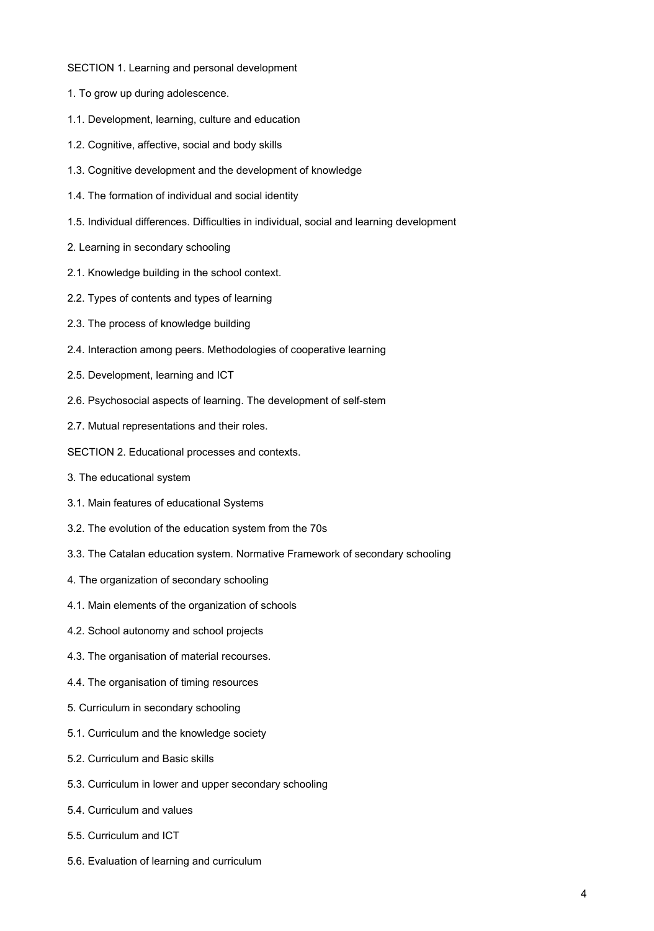- SECTION 1. Learning and personal development
- 1. To grow up during adolescence.
- 1.1. Development, learning, culture and education
- 1.2. Cognitive, affective, social and body skills
- 1.3. Cognitive development and the development of knowledge
- 1.4. The formation of individual and social identity
- 1.5. Individual differences. Difficulties in individual, social and learning development
- 2. Learning in secondary schooling
- 2.1. Knowledge building in the school context.
- 2.2. Types of contents and types of learning
- 2.3. The process of knowledge building
- 2.4. Interaction among peers. Methodologies of cooperative learning
- 2.5. Development, learning and ICT
- 2.6. Psychosocial aspects of learning. The development of self-stem
- 2.7. Mutual representations and their roles.
- SECTION 2. Educational processes and contexts.
- 3. The educational system
- 3.1. Main features of educational Systems
- 3.2. The evolution of the education system from the 70s
- 3.3. The Catalan education system. Normative Framework of secondary schooling
- 4. The organization of secondary schooling
- 4.1. Main elements of the organization of schools
- 4.2. School autonomy and school projects
- 4.3. The organisation of material recourses.
- 4.4. The organisation of timing resources
- 5. Curriculum in secondary schooling
- 5.1. Curriculum and the knowledge society
- 5.2. Curriculum and Basic skills
- 5.3. Curriculum in lower and upper secondary schooling
- 5.4. Curriculum and values
- 5.5. Curriculum and ICT
- 5.6. Evaluation of learning and curriculum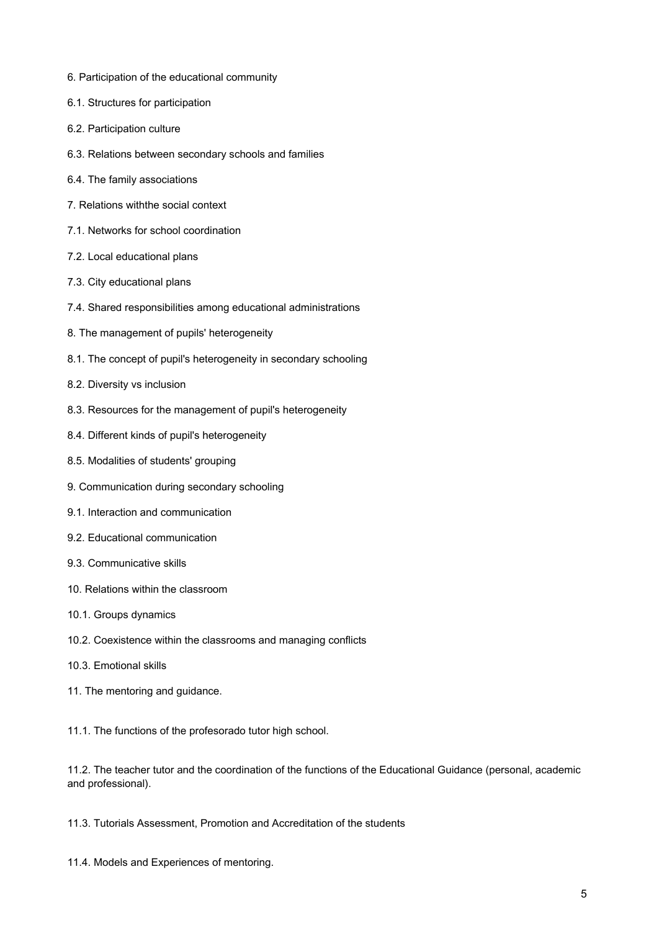- 6. Participation of the educational community
- 6.1. Structures for participation
- 6.2. Participation culture
- 6.3. Relations between secondary schools and families
- 6.4. The family associations
- 7. Relations withthe social context
- 7.1. Networks for school coordination
- 7.2. Local educational plans
- 7.3. City educational plans
- 7.4. Shared responsibilities among educational administrations
- 8. The management of pupils' heterogeneity
- 8.1. The concept of pupil's heterogeneity in secondary schooling
- 8.2. Diversity vs inclusion
- 8.3. Resources for the management of pupil's heterogeneity
- 8.4. Different kinds of pupil's heterogeneity
- 8.5. Modalities of students' grouping
- 9. Communication during secondary schooling
- 9.1. Interaction and communication
- 9.2. Educational communication
- 9.3. Communicative skills
- 10. Relations within the classroom
- 10.1. Groups dynamics
- 10.2. Coexistence within the classrooms and managing conflicts
- 10.3. Emotional skills
- 11. The mentoring and guidance.

11.1. The functions of the profesorado tutor high school.

11.2. The teacher tutor and the coordination of the functions of the Educational Guidance (personal, academic and professional).

11.3. Tutorials Assessment, Promotion and Accreditation of the students

11.4. Models and Experiences of mentoring.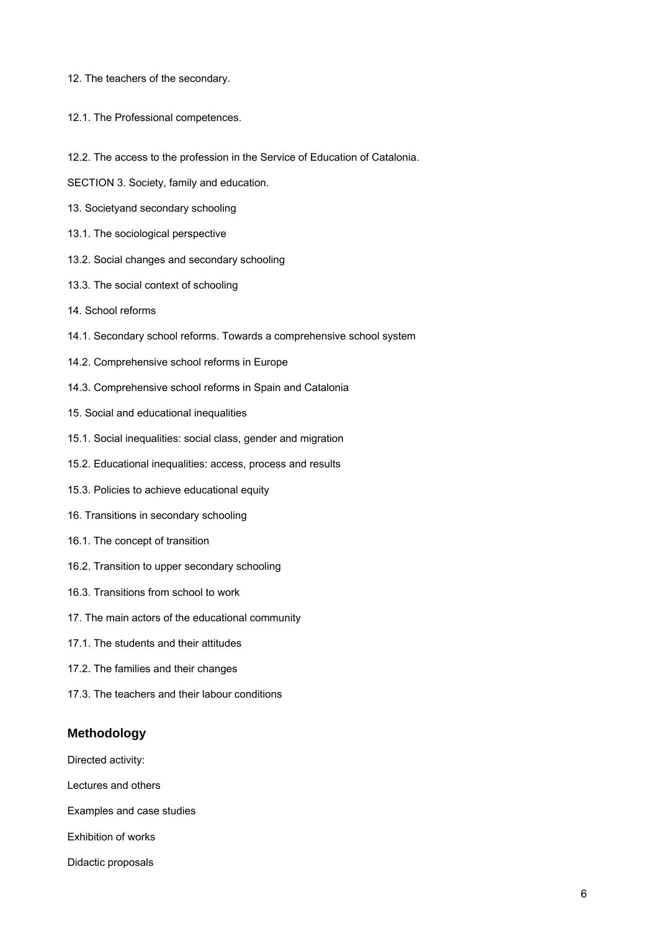- 12. The teachers of the secondary.
- 12.1. The Professional competences.
- 12.2. The access to the profession in the Service of Education of Catalonia.
- SECTION 3. Society, family and education.
- 13. Societyand secondary schooling
- 13.1. The sociological perspective
- 13.2. Social changes and secondary schooling
- 13.3. The social context of schooling
- 14. School reforms
- 14.1. Secondary school reforms. Towards a comprehensive school system
- 14.2. Comprehensive school reforms in Europe
- 14.3. Comprehensive school reforms in Spain and Catalonia
- 15. Social and educational inequalities
- 15.1. Social inequalities: social class, gender and migration
- 15.2. Educational inequalities: access, process and results
- 15.3. Policies to achieve educational equity
- 16. Transitions in secondary schooling
- 16.1. The concept of transition
- 16.2. Transition to upper secondary schooling
- 16.3. Transitions from school to work
- 17. The main actors of the educational community
- 17.1. The students and their attitudes
- 17.2. The families and their changes
- 17.3. The teachers and their labour conditions

## **Methodology**

Directed activity:

Lectures and others

Examples and case studies

Exhibition of works

Didactic proposals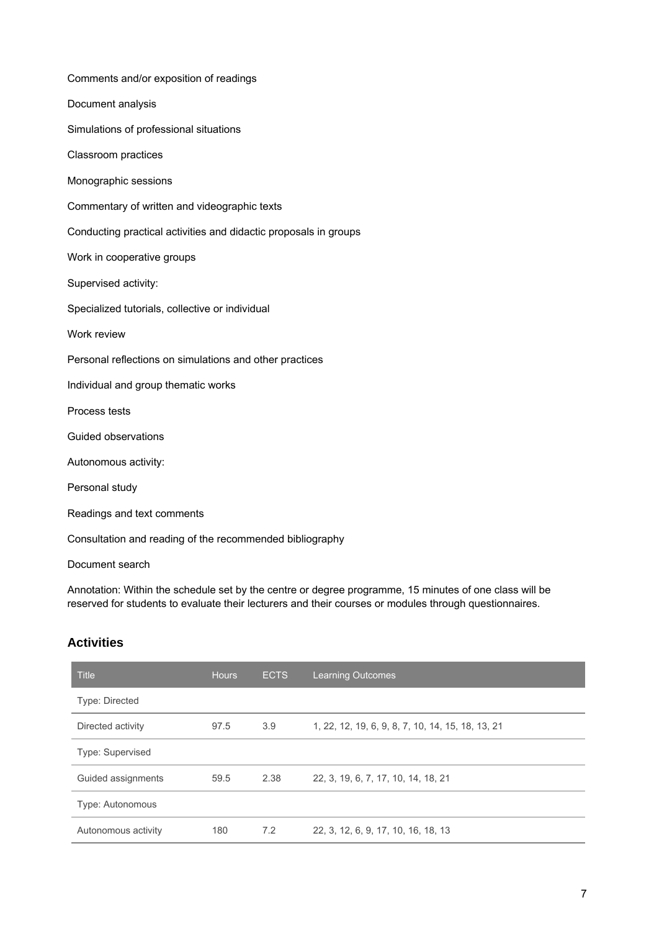| Comments and/or exposition of readings                           |
|------------------------------------------------------------------|
| Document analysis                                                |
| Simulations of professional situations                           |
| Classroom practices                                              |
| Monographic sessions                                             |
| Commentary of written and videographic texts                     |
| Conducting practical activities and didactic proposals in groups |
| Work in cooperative groups                                       |
| Supervised activity:                                             |
| Specialized tutorials, collective or individual                  |
| Work review                                                      |
| Personal reflections on simulations and other practices          |
| Individual and group thematic works                              |
| Process tests                                                    |
| Guided observations                                              |
| Autonomous activity:                                             |
| Personal study                                                   |
| Readings and text comments                                       |
| Consultation and reading of the recommended bibliography         |

Document search

Annotation: Within the schedule set by the centre or degree programme, 15 minutes of one class will be reserved for students to evaluate their lecturers and their courses or modules through questionnaires.

# **Activities**

| <b>Title</b>            | <b>Hours</b> | <b>ECTS</b> | <b>Learning Outcomes</b>                          |
|-------------------------|--------------|-------------|---------------------------------------------------|
| <b>Type: Directed</b>   |              |             |                                                   |
| Directed activity       | 97.5         | 3.9         | 1, 22, 12, 19, 6, 9, 8, 7, 10, 14, 15, 18, 13, 21 |
| Type: Supervised        |              |             |                                                   |
| Guided assignments      | 59.5         | 2.38        | 22, 3, 19, 6, 7, 17, 10, 14, 18, 21               |
| <b>Type: Autonomous</b> |              |             |                                                   |
| Autonomous activity     | 180          | 7.2         | 22, 3, 12, 6, 9, 17, 10, 16, 18, 13               |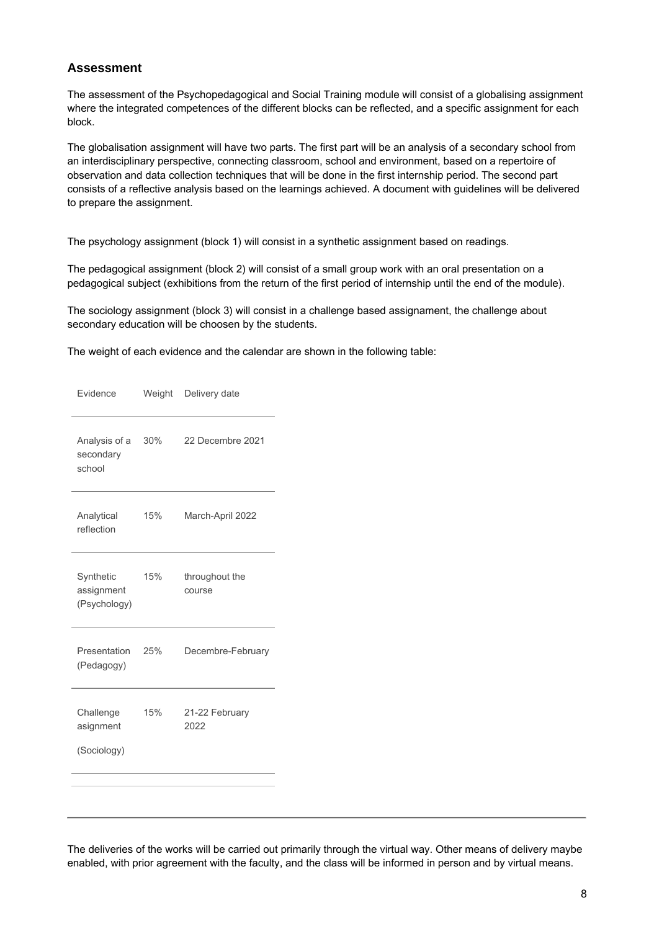### **Assessment**

The assessment of the Psychopedagogical and Social Training module will consist of a globalising assignment where the integrated competences of the different blocks can be reflected, and a specific assignment for each block.

The globalisation assignment will have two parts. The first part will be an analysis of a secondary school from an interdisciplinary perspective, connecting classroom, school and environment, based on a repertoire of observation and data collection techniques that will be done in the first internship period. The second part consists of a reflective analysis based on the learnings achieved. A document with guidelines will be delivered to prepare the assignment.

The psychology assignment (block 1) will consist in a synthetic assignment based on readings.

The pedagogical assignment (block 2) will consist of a small group work with an oral presentation on a pedagogical subject (exhibitions from the return of the first period of internship until the end of the module).

The sociology assignment (block 3) will consist in a challenge based assignament, the challenge about secondary education will be choosen by the students.

The weight of each evidence and the calendar are shown in the following table:

| Evidence                                | Weight | Delivery date            |
|-----------------------------------------|--------|--------------------------|
| Analysis of a<br>secondary<br>school    | 30%    | 22 Decembre 2021         |
| Analytical<br>reflection                | 15%    | March-April 2022         |
| Synthetic<br>assignment<br>(Psychology) | 15%    | throughout the<br>course |
| Presentation<br>(Pedagogy)              | 25%    | Decembre-February        |
| Challenge<br>asignment<br>(Sociology)   | 15%    | 21-22 February<br>2022   |
|                                         |        |                          |

The deliveries of the works will be carried out primarily through the virtual way. Other means of delivery maybe enabled, with prior agreement with the faculty, and the class will be informed in person and by virtual means.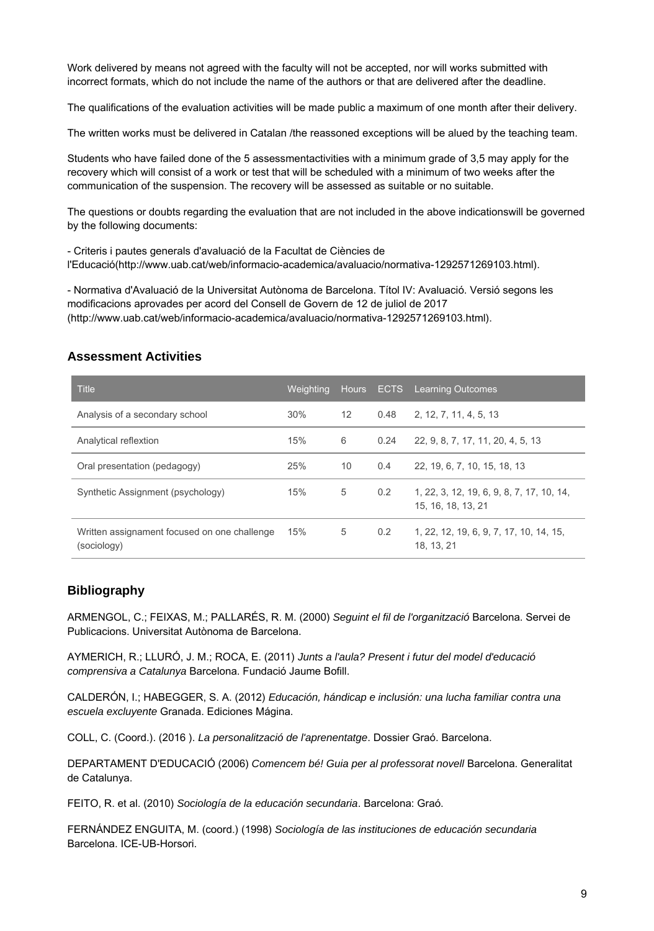Work delivered by means not agreed with the faculty will not be accepted, nor will works submitted with incorrect formats, which do not include the name of the authors or that are delivered after the deadline.

The qualifications of the evaluation activities will be made public a maximum of one month after their delivery.

The written works must be delivered in Catalan /the reassoned exceptions will be alued by the teaching team.

Students who have failed done of the 5 assessmentactivities with a minimum grade of 3,5 may apply for the recovery which will consist of a work or test that will be scheduled with a minimum of two weeks after the communication of the suspension. The recovery will be assessed as suitable or no suitable.

The questions or doubts regarding the evaluation that are not included in the above indicationswill be governed by the following documents:

- Criteris i pautes generals d'avaluació de la Facultat de Ciències de l'Educació(http://www.uab.cat/web/informacio-academica/avaluacio/normativa-1292571269103.html).

- Normativa d'Avaluació de la Universitat Autònoma de Barcelona. Títol IV: Avaluació. Versió segons les modificacions aprovades per acord del Consell de Govern de 12 de juliol de 2017 (http://www.uab.cat/web/informacio-academica/avaluacio/normativa-1292571269103.html).

| <b>Title</b>                                                | Weighting |    |               | Hours ECTS Learning Outcomes                                    |
|-------------------------------------------------------------|-----------|----|---------------|-----------------------------------------------------------------|
| Analysis of a secondary school                              | 30%       | 12 | 0.48          | 2, 12, 7, 11, 4, 5, 13                                          |
| Analytical reflextion                                       | 15%       | 6  | 0.24          | 22, 9, 8, 7, 17, 11, 20, 4, 5, 13                               |
| Oral presentation (pedagogy)                                | 25%       | 10 | $0.4^{\circ}$ | 22, 19, 6, 7, 10, 15, 18, 13                                    |
| Synthetic Assignment (psychology)                           | 15%       | 5  | 0.2           | 1, 22, 3, 12, 19, 6, 9, 8, 7, 17, 10, 14,<br>15, 16, 18, 13, 21 |
| Written assignament focused on one challenge<br>(sociology) | 15%       | 5  | 0.2           | 1, 22, 12, 19, 6, 9, 7, 17, 10, 14, 15,<br>18. 13. 21           |

#### **Assessment Activities**

### **Bibliography**

ARMENGOL, C.; FEIXAS, M.; PALLARÉS, R. M. (2000) Seguint el fil de l'organització Barcelona. Servei de Publicacions. Universitat Autònoma de Barcelona.

AYMERICH, R.; LLURÓ, J. M.; ROCA, E. (2011) Junts a l'aula? Present i futur del model d'educació comprensiva a Catalunya Barcelona. Fundació Jaume Bofill.

CALDERÓN, I.; HABEGGER, S. A. (2012) Educación, hándicap e inclusión: una lucha familiar contra una escuela excluyente Granada. Ediciones Mágina.

COLL, C. (Coord.). (2016 ). La personalització de l'aprenentatge. Dossier Graó. Barcelona.

DEPARTAMENT D'EDUCACIÓ (2006) Comencem bé! Guia per al professorat novell Barcelona. Generalitat de Catalunya.

FEITO, R. et al. (2010) Sociología de la educación secundaria. Barcelona: Graó.

FERNÁNDEZ ENGUITA, M. (coord.) (1998) Sociología de las instituciones de educación secundaria Barcelona. ICE-UB-Horsori.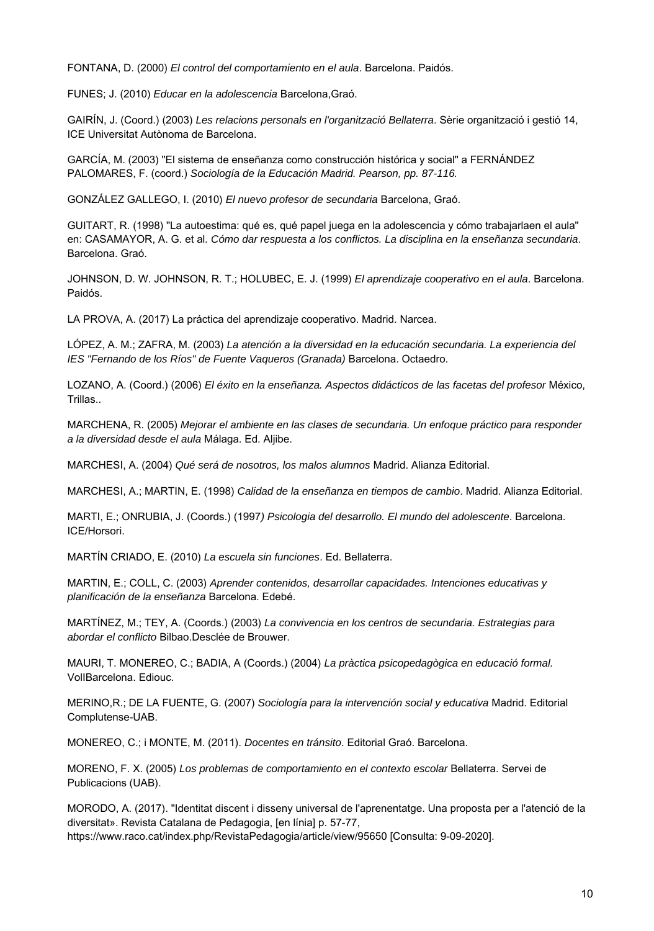FONTANA, D. (2000) El control del comportamiento en el aula. Barcelona. Paidós.

FUNES; J. (2010) Educar en la adolescencia Barcelona,Graó.

GAIRÍN, J. (Coord.) (2003) Les relacions personals en l'organització Bellaterra. Sèrie organització i gestió 14, ICE Universitat Autònoma de Barcelona.

GARCÍA, M. (2003) "El sistema de enseñanza como construcción histórica y social" a FERNÁNDEZ PALOMARES, F. (coord.) Sociología de la Educación Madrid. Pearson, pp. 87-116.

GONZÁLEZ GALLEGO, I. (2010) El nuevo profesor de secundaria Barcelona, Graó.

GUITART, R. (1998) "La autoestima: qué es, qué papel juega en la adolescencia y cómo trabajarlaen el aula" en: CASAMAYOR, A. G. et al. Cómo dar respuesta a los conflictos. La disciplina en la enseñanza secundaria. Barcelona. Graó.

JOHNSON, D. W. JOHNSON, R. T.; HOLUBEC, E. J. (1999) El aprendizaje cooperativo en el aula. Barcelona. Paidós.

LA PROVA, A. (2017) La práctica del aprendizaje cooperativo. Madrid. Narcea.

LÓPEZ, A. M.; ZAFRA, M. (2003) La atención a la diversidad en la educación secundaria. La experiencia del IES "Fernando de los Ríos" de Fuente Vaqueros (Granada) Barcelona. Octaedro.

LOZANO, A. (Coord.) (2006) El éxito en la enseñanza. Aspectos didácticos de las facetas del profesor México, Trillas..

MARCHENA, R. (2005) Mejorar el ambiente en las clases de secundaria. Un enfoque práctico para responder a la diversidad desde el aula Málaga. Ed. Aljibe.

MARCHESI, A. (2004) Qué será de nosotros, los malos alumnos Madrid. Alianza Editorial.

MARCHESI, A.; MARTIN, E. (1998) Calidad de la enseñanza en tiempos de cambio. Madrid. Alianza Editorial.

MARTI, E.; ONRUBIA, J. (Coords.) (1997) Psicologia del desarrollo. El mundo del adolescente. Barcelona. ICE/Horsori.

MARTÍN CRIADO, E. (2010) La escuela sin funciones. Ed. Bellaterra.

MARTIN, E.; COLL, C. (2003) Aprender contenidos, desarrollar capacidades. Intenciones educativas y planificación de la enseñanza Barcelona. Edebé.

MARTÍNEZ, M.; TEY, A. (Coords.) (2003) La convivencia en los centros de secundaria. Estrategias para abordar el conflicto Bilbao.Desclée de Brouwer.

MAURI, T. MONEREO, C.; BADIA, A (Coords.) (2004) La pràctica psicopedagògica en educació formal. VolIBarcelona. Ediouc.

MERINO,R.; DE LA FUENTE, G. (2007) Sociología para la intervención social y educativa Madrid. Editorial Complutense-UAB.

MONEREO, C.; i MONTE, M. (2011). Docentes en tránsito. Editorial Graó. Barcelona.

MORENO, F. X. (2005) Los problemas de comportamiento en el contexto escolar Bellaterra. Servei de Publicacions (UAB).

MORODO, A. (2017). "Identitat discent i disseny universal de l'aprenentatge. Una proposta per a l'atenció de la diversitat». Revista Catalana de Pedagogia, [en línia] p. 57-77, https://www.raco.cat/index.php/RevistaPedagogia/article/view/95650 [Consulta: 9-09-2020].